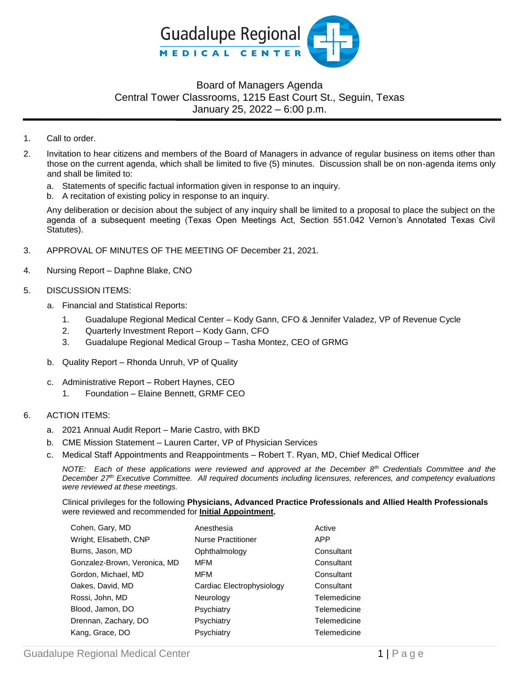

## Board of Managers Agenda Central Tower Classrooms, 1215 East Court St., Seguin, Texas January 25, 2022 – 6:00 p.m.

- 1. Call to order.
- 2. Invitation to hear citizens and members of the Board of Managers in advance of regular business on items other than those on the current agenda, which shall be limited to five (5) minutes. Discussion shall be on non-agenda items only and shall be limited to:
	- a. Statements of specific factual information given in response to an inquiry.
	- b. A recitation of existing policy in response to an inquiry.

Any deliberation or decision about the subject of any inquiry shall be limited to a proposal to place the subject on the agenda of a subsequent meeting (Texas Open Meetings Act, Section 551.042 Vernon's Annotated Texas Civil Statutes).

- 3. APPROVAL OF MINUTES OF THE MEETING OF December 21, 2021.
- 4. Nursing Report Daphne Blake, CNO
- 5. DISCUSSION ITEMS:
	- a. Financial and Statistical Reports:
		- 1. Guadalupe Regional Medical Center Kody Gann, CFO & Jennifer Valadez, VP of Revenue Cycle
		- 2. Quarterly Investment Report Kody Gann, CFO
		- 3. Guadalupe Regional Medical Group Tasha Montez, CEO of GRMG
	- b. Quality Report Rhonda Unruh, VP of Quality
	- c. Administrative Report Robert Haynes, CEO
		- 1. Foundation Elaine Bennett, GRMF CEO

## 6. ACTION ITEMS:

- a. 2021 Annual Audit Report Marie Castro, with BKD
- b. CME Mission Statement Lauren Carter, VP of Physician Services
- c. Medical Staff Appointments and Reappointments Robert T. Ryan, MD, Chief Medical Officer

*NOTE: Each of these applications were reviewed and approved at the December 8th Credentials Committee and the December 27th Executive Committee. All required documents including licensures, references, and competency evaluations were reviewed at these meetings.*

Clinical privileges for the following **Physicians, Advanced Practice Professionals and Allied Health Professionals** were reviewed and recommended for **Initial Appointment.** 

| Cohen, Gary, MD              | Anesthesia                | Active       |
|------------------------------|---------------------------|--------------|
| Wright, Elisabeth, CNP       | <b>Nurse Practitioner</b> | <b>APP</b>   |
| Burns, Jason, MD             | Ophthalmology             | Consultant   |
| Gonzalez-Brown, Veronica, MD | MFM                       | Consultant   |
| Gordon, Michael, MD          | MFM                       | Consultant   |
| Oakes, David, MD             | Cardiac Electrophysiology | Consultant   |
| Rossi, John, MD              | Neurology                 | Telemedicine |
| Blood, Jamon, DO             | Psychiatry                | Telemedicine |
| Drennan, Zachary, DO         | Psychiatry                | Telemedicine |
| Kang, Grace, DO              | Psychiatry                | Telemedicine |